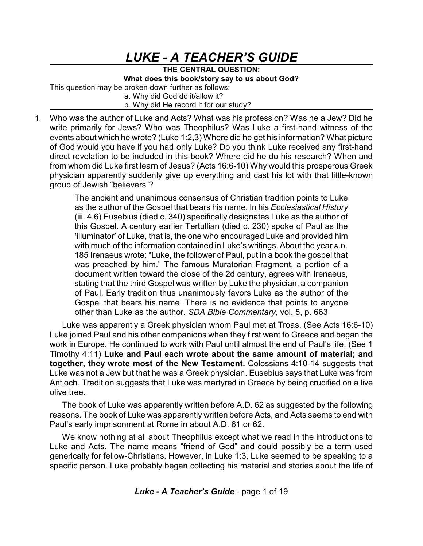# *LUKE - A TEACHER'S GUIDE*

**THE CENTRAL QUESTION:**

**What does this book/story say to us about God?**

This question may be broken down further as follows: a. Why did God do it/allow it?

# b. Why did He record it for our study?

1. Who was the author of Luke and Acts? What was his profession? Was he a Jew? Did he write primarily for Jews? Who was Theophilus? Was Luke a first-hand witness of the events about which he wrote? (Luke 1:2,3) Where did he get his information? What picture of God would you have if you had only Luke? Do you think Luke received any first-hand direct revelation to be included in this book? Where did he do his research? When and from whom did Luke first learn of Jesus? (Acts 16:6-10) Why would this prosperous Greek physician apparently suddenly give up everything and cast his lot with that little-known group of Jewish "believers"?

> The ancient and unanimous consensus of Christian tradition points to Luke as the author of the Gospel that bears his name. In his *Ecclesiastical History* (iii. 4.6) Eusebius (died c. 340) specifically designates Luke as the author of this Gospel. A century earlier Tertullian (died c. 230) spoke of Paul as the 'illuminator' of Luke, that is, the one who encouraged Luke and provided him with much of the information contained in Luke's writings. About the year A.D. 185 Irenaeus wrote: "Luke, the follower of Paul, put in a book the gospel that was preached by him." The famous Muratorian Fragment, a portion of a document written toward the close of the 2d century, agrees with Irenaeus, stating that the third Gospel was written by Luke the physician, a companion of Paul. Early tradition thus unanimously favors Luke as the author of the Gospel that bears his name. There is no evidence that points to anyone other than Luke as the author. *SDA Bible Commentary*, vol. 5, p. 663

Luke was apparently a Greek physician whom Paul met at Troas. (See Acts 16:6-10) Luke joined Paul and his other companions when they first went to Greece and began the work in Europe. He continued to work with Paul until almost the end of Paul's life. (See 1 Timothy 4:11) **Luke and Paul each wrote about the same amount of material; and together, they wrote most of the New Testament.** Colossians 4:10-14 suggests that Luke was not a Jew but that he was a Greek physician. Eusebius says that Luke was from Antioch. Tradition suggests that Luke was martyred in Greece by being crucified on a live olive tree.

The book of Luke was apparently written before A.D. 62 as suggested by the following reasons. The book of Luke was apparently written before Acts, and Acts seems to end with Paul's early imprisonment at Rome in about A.D. 61 or 62.

We know nothing at all about Theophilus except what we read in the introductions to Luke and Acts. The name means "friend of God" and could possibly be a term used generically for fellow-Christians. However, in Luke 1:3, Luke seemed to be speaking to a specific person. Luke probably began collecting his material and stories about the life of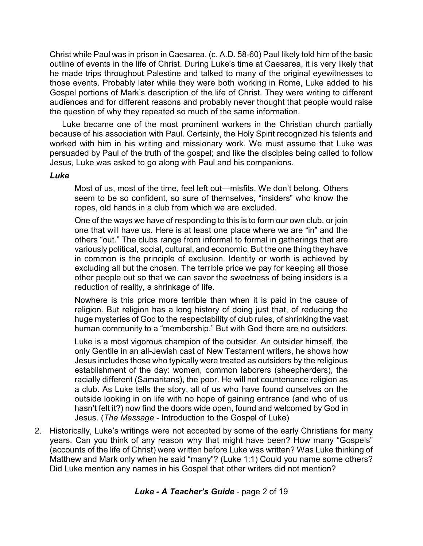Christ while Paul was in prison in Caesarea. (c. A.D. 58-60) Paul likely told him of the basic outline of events in the life of Christ. During Luke's time at Caesarea, it is very likely that he made trips throughout Palestine and talked to many of the original eyewitnesses to those events. Probably later while they were both working in Rome, Luke added to his Gospel portions of Mark's description of the life of Christ. They were writing to different audiences and for different reasons and probably never thought that people would raise the question of why they repeated so much of the same information.

Luke became one of the most prominent workers in the Christian church partially because of his association with Paul. Certainly, the Holy Spirit recognized his talents and worked with him in his writing and missionary work. We must assume that Luke was persuaded by Paul of the truth of the gospel; and like the disciples being called to follow Jesus, Luke was asked to go along with Paul and his companions.

#### *Luke*

Most of us, most of the time, feel left out—misfits. We don't belong. Others seem to be so confident, so sure of themselves, "insiders" who know the ropes, old hands in a club from which we are excluded.

One of the ways we have of responding to this is to form our own club, or join one that will have us. Here is at least one place where we are "in" and the others "out." The clubs range from informal to formal in gatherings that are variously political, social, cultural, and economic. But the one thing they have in common is the principle of exclusion. Identity or worth is achieved by excluding all but the chosen. The terrible price we pay for keeping all those other people out so that we can savor the sweetness of being insiders is a reduction of reality, a shrinkage of life.

Nowhere is this price more terrible than when it is paid in the cause of religion. But religion has a long history of doing just that, of reducing the huge mysteries of God to the respectability of club rules, of shrinking the vast human community to a "membership." But with God there are no outsiders.

Luke is a most vigorous champion of the outsider. An outsider himself, the only Gentile in an all-Jewish cast of New Testament writers, he shows how Jesus includes those who typically were treated as outsiders by the religious establishment of the day: women, common laborers (sheepherders), the racially different (Samaritans), the poor. He will not countenance religion as a club. As Luke tells the story, all of us who have found ourselves on the outside looking in on life with no hope of gaining entrance (and who of us hasn't felt it?) now find the doors wide open, found and welcomed by God in Jesus. (*The Message -* Introduction to the Gospel of Luke)

2. Historically, Luke's writings were not accepted by some of the early Christians for many years. Can you think of any reason why that might have been? How many "Gospels" (accounts of the life of Christ) were written before Luke was written? Was Luke thinking of Matthew and Mark only when he said "many"? (Luke 1:1) Could you name some others? Did Luke mention any names in his Gospel that other writers did not mention?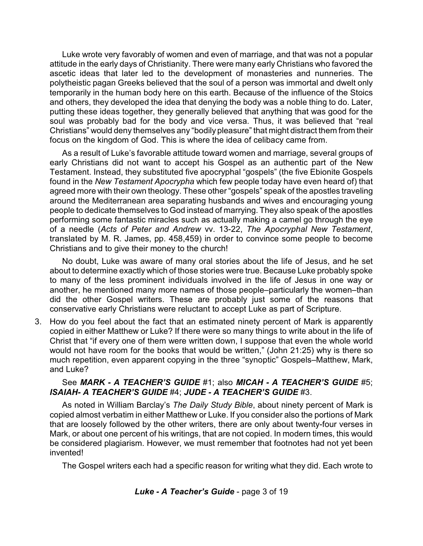Luke wrote very favorably of women and even of marriage, and that was not a popular attitude in the early days of Christianity. There were many early Christians who favored the ascetic ideas that later led to the development of monasteries and nunneries. The polytheistic pagan Greeks believed that the soul of a person was immortal and dwelt only temporarily in the human body here on this earth. Because of the influence of the Stoics and others, they developed the idea that denying the body was a noble thing to do. Later, putting these ideas together, they generally believed that anything that was good for the soul was probably bad for the body and vice versa. Thus, it was believed that "real Christians" would deny themselves any "bodily pleasure" that might distract them from their focus on the kingdom of God. This is where the idea of celibacy came from.

As a result of Luke's favorable attitude toward women and marriage, several groups of early Christians did not want to accept his Gospel as an authentic part of the New Testament. Instead, they substituted five apocryphal "gospels" (the five Ebionite Gospels found in the *New Testament Apocrypha* which few people today have even heard of) that agreed more with their own theology. These other "gospels" speak of the apostles traveling around the Mediterranean area separating husbands and wives and encouraging young people to dedicate themselves to God instead of marrying. They also speak of the apostles performing some fantastic miracles such as actually making a camel go through the eye of a needle (*Acts of Peter and Andrew* vv. 13-22, *The Apocryphal New Testament*, translated by M. R. James, pp. 458,459) in order to convince some people to become Christians and to give their money to the church!

No doubt, Luke was aware of many oral stories about the life of Jesus, and he set about to determine exactly which of those stories were true. Because Luke probably spoke to many of the less prominent individuals involved in the life of Jesus in one way or another, he mentioned many more names of those people–particularly the women–than did the other Gospel writers. These are probably just some of the reasons that conservative early Christians were reluctant to accept Luke as part of Scripture.

3. How do you feel about the fact that an estimated ninety percent of Mark is apparently copied in either Matthew or Luke? If there were so many things to write about in the life of Christ that "if every one of them were written down, I suppose that even the whole world would not have room for the books that would be written," (John 21:25) why is there so much repetition, even apparent copying in the three "synoptic" Gospels–Matthew, Mark, and Luke?

# See *MARK - A TEACHER'S GUIDE* #1; also *MICAH - A TEACHER'S GUIDE* #5; *ISAIAH- A TEACHER'S GUIDE* #4; *JUDE - A TEACHER'S GUIDE* #3.

As noted in William Barclay's *The Daily Study Bible*, about ninety percent of Mark is copied almost verbatim in either Matthew or Luke. If you consider also the portions of Mark that are loosely followed by the other writers, there are only about twenty-four verses in Mark, or about one percent of his writings, that are not copied. In modern times, this would be considered plagiarism. However, we must remember that footnotes had not yet been invented!

The Gospel writers each had a specific reason for writing what they did. Each wrote to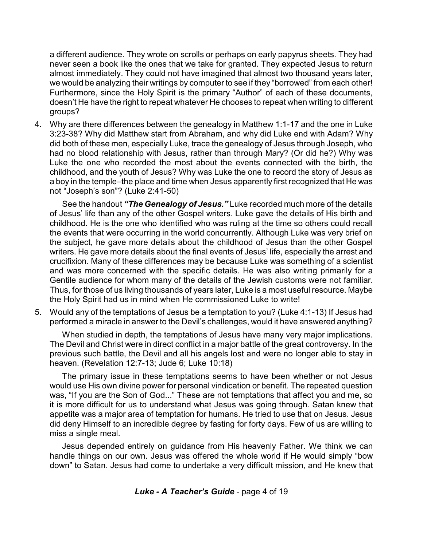a different audience. They wrote on scrolls or perhaps on early papyrus sheets. They had never seen a book like the ones that we take for granted. They expected Jesus to return almost immediately. They could not have imagined that almost two thousand years later, we would be analyzing their writings by computer to see if they "borrowed" from each other! Furthermore, since the Holy Spirit is the primary "Author" of each of these documents, doesn't He have the right to repeat whatever He chooses to repeat when writing to different groups?

4. Why are there differences between the genealogy in Matthew 1:1-17 and the one in Luke 3:23-38? Why did Matthew start from Abraham, and why did Luke end with Adam? Why did both of these men, especially Luke, trace the genealogy of Jesus through Joseph, who had no blood relationship with Jesus, rather than through Mary? (Or did he?) Why was Luke the one who recorded the most about the events connected with the birth, the childhood, and the youth of Jesus? Why was Luke the one to record the story of Jesus as a boy in the temple–the place and time when Jesus apparently first recognized that He was not "Joseph's son"? (Luke 2:41-50)

See the handout *"The Genealogy of Jesus."* Luke recorded much more of the details of Jesus' life than any of the other Gospel writers. Luke gave the details of His birth and childhood. He is the one who identified who was ruling at the time so others could recall the events that were occurring in the world concurrently. Although Luke was very brief on the subject, he gave more details about the childhood of Jesus than the other Gospel writers. He gave more details about the final events of Jesus' life, especially the arrest and crucifixion. Many of these differences may be because Luke was something of a scientist and was more concerned with the specific details. He was also writing primarily for a Gentile audience for whom many of the details of the Jewish customs were not familiar. Thus, for those of us living thousands of years later, Luke is a most useful resource. Maybe the Holy Spirit had us in mind when He commissioned Luke to write!

5. Would any of the temptations of Jesus be a temptation to you? (Luke 4:1-13) If Jesus had performed a miracle in answer to the Devil's challenges, would it have answered anything?

When studied in depth, the temptations of Jesus have many very major implications. The Devil and Christ were in direct conflict in a major battle of the great controversy. In the previous such battle, the Devil and all his angels lost and were no longer able to stay in heaven. (Revelation 12:7-13; Jude 6; Luke 10:18)

The primary issue in these temptations seems to have been whether or not Jesus would use His own divine power for personal vindication or benefit. The repeated question was, "If you are the Son of God..." These are not temptations that affect you and me, so it is more difficult for us to understand what Jesus was going through. Satan knew that appetite was a major area of temptation for humans. He tried to use that on Jesus. Jesus did deny Himself to an incredible degree by fasting for forty days. Few of us are willing to miss a single meal.

Jesus depended entirely on guidance from His heavenly Father. We think we can handle things on our own. Jesus was offered the whole world if He would simply "bow down" to Satan. Jesus had come to undertake a very difficult mission, and He knew that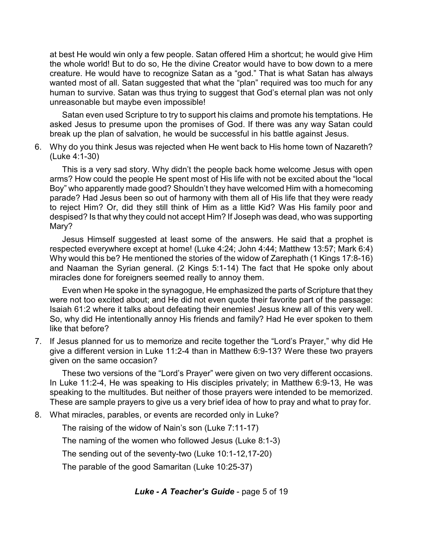at best He would win only a few people. Satan offered Him a shortcut; he would give Him the whole world! But to do so, He the divine Creator would have to bow down to a mere creature. He would have to recognize Satan as a "god." That is what Satan has always wanted most of all. Satan suggested that what the "plan" required was too much for any human to survive. Satan was thus trying to suggest that God's eternal plan was not only unreasonable but maybe even impossible!

Satan even used Scripture to try to support his claims and promote his temptations. He asked Jesus to presume upon the promises of God. If there was any way Satan could break up the plan of salvation, he would be successful in his battle against Jesus.

6. Why do you think Jesus was rejected when He went back to His home town of Nazareth? (Luke 4:1-30)

This is a very sad story. Why didn't the people back home welcome Jesus with open arms? How could the people He spent most of His life with not be excited about the "local Boy" who apparently made good? Shouldn't they have welcomed Him with a homecoming parade? Had Jesus been so out of harmony with them all of His life that they were ready to reject Him? Or, did they still think of Him as a little Kid? Was His family poor and despised? Is that why they could not accept Him? If Joseph was dead, who was supporting Mary?

Jesus Himself suggested at least some of the answers. He said that a prophet is respected everywhere except at home! (Luke 4:24; John 4:44; Matthew 13:57; Mark 6:4) Why would this be? He mentioned the stories of the widow of Zarephath (1 Kings 17:8-16) and Naaman the Syrian general. (2 Kings 5:1-14) The fact that He spoke only about miracles done for foreigners seemed really to annoy them.

Even when He spoke in the synagogue, He emphasized the parts of Scripture that they were not too excited about; and He did not even quote their favorite part of the passage: Isaiah 61:2 where it talks about defeating their enemies! Jesus knew all of this very well. So, why did He intentionally annoy His friends and family? Had He ever spoken to them like that before?

7. If Jesus planned for us to memorize and recite together the "Lord's Prayer," why did He give a different version in Luke 11:2-4 than in Matthew 6:9-13? Were these two prayers given on the same occasion?

These two versions of the "Lord's Prayer" were given on two very different occasions. In Luke 11:2-4, He was speaking to His disciples privately; in Matthew 6:9-13, He was speaking to the multitudes. But neither of those prayers were intended to be memorized. These are sample prayers to give us a very brief idea of how to pray and what to pray for.

8. What miracles, parables, or events are recorded only in Luke?

The raising of the widow of Nain's son (Luke 7:11-17)

The naming of the women who followed Jesus (Luke 8:1-3)

The sending out of the seventy-two (Luke 10:1-12,17-20)

The parable of the good Samaritan (Luke 10:25-37)

## *Luke - A Teacher's Guide* - page 5 of 19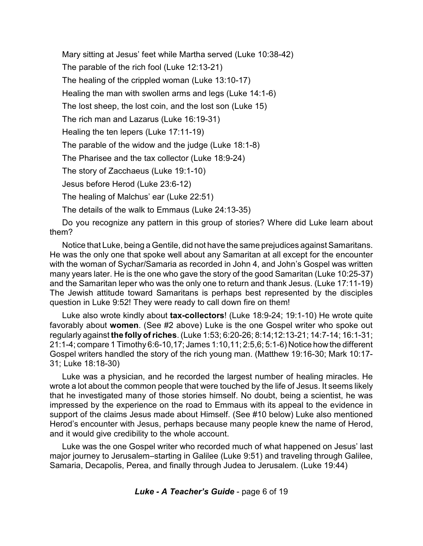Mary sitting at Jesus' feet while Martha served (Luke 10:38-42)

The parable of the rich fool (Luke 12:13-21)

The healing of the crippled woman (Luke 13:10-17)

Healing the man with swollen arms and legs (Luke 14:1-6)

The lost sheep, the lost coin, and the lost son (Luke 15)

The rich man and Lazarus (Luke 16:19-31)

Healing the ten lepers (Luke 17:11-19)

The parable of the widow and the judge (Luke 18:1-8)

The Pharisee and the tax collector (Luke 18:9-24)

The story of Zacchaeus (Luke 19:1-10)

Jesus before Herod (Luke 23:6-12)

The healing of Malchus' ear (Luke 22:51)

The details of the walk to Emmaus (Luke 24:13-35)

Do you recognize any pattern in this group of stories? Where did Luke learn about them?

Notice that Luke, being a Gentile, did not have the same prejudices against Samaritans. He was the only one that spoke well about any Samaritan at all except for the encounter with the woman of Sychar/Samaria as recorded in John 4, and John's Gospel was written many years later. He is the one who gave the story of the good Samaritan (Luke 10:25-37) and the Samaritan leper who was the only one to return and thank Jesus. (Luke 17:11-19) The Jewish attitude toward Samaritans is perhaps best represented by the disciples question in Luke 9:52! They were ready to call down fire on them!

Luke also wrote kindly about **tax-collectors**! (Luke 18:9-24; 19:1-10) He wrote quite favorably about **women**. (See #2 above) Luke is the one Gospel writer who spoke out regularly against **the follyof riches**. (Luke 1:53; 6:20-26; 8:14;12:13-21; 14:7-14; 16:1-31; 21:1-4; compare 1 Timothy 6:6-10,17; James 1:10,11; 2:5,6; 5:1-6) Notice how the different Gospel writers handled the story of the rich young man. (Matthew 19:16-30; Mark 10:17- 31; Luke 18:18-30)

Luke was a physician, and he recorded the largest number of healing miracles. He wrote a lot about the common people that were touched by the life of Jesus. It seems likely that he investigated many of those stories himself. No doubt, being a scientist, he was impressed by the experience on the road to Emmaus with its appeal to the evidence in support of the claims Jesus made about Himself. (See #10 below) Luke also mentioned Herod's encounter with Jesus, perhaps because many people knew the name of Herod, and it would give credibility to the whole account.

Luke was the one Gospel writer who recorded much of what happened on Jesus' last major journey to Jerusalem–starting in Galilee (Luke 9:51) and traveling through Galilee, Samaria, Decapolis, Perea, and finally through Judea to Jerusalem. (Luke 19:44)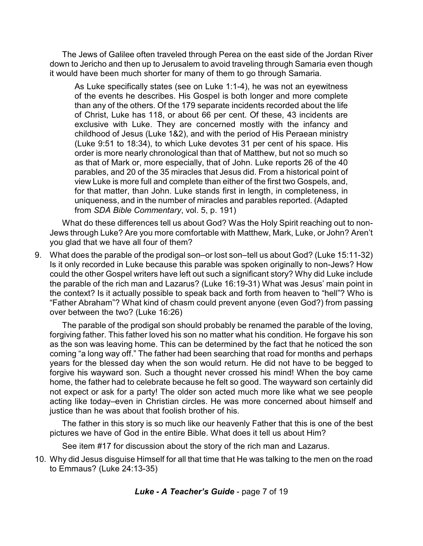The Jews of Galilee often traveled through Perea on the east side of the Jordan River down to Jericho and then up to Jerusalem to avoid traveling through Samaria even though it would have been much shorter for many of them to go through Samaria.

As Luke specifically states (see on Luke 1:1-4), he was not an eyewitness of the events he describes. His Gospel is both longer and more complete than any of the others. Of the 179 separate incidents recorded about the life of Christ, Luke has 118, or about 66 per cent. Of these, 43 incidents are exclusive with Luke. They are concerned mostly with the infancy and childhood of Jesus (Luke 1&2), and with the period of His Peraean ministry (Luke 9:51 to 18:34), to which Luke devotes 31 per cent of his space. His order is more nearly chronological than that of Matthew, but not so much so as that of Mark or, more especially, that of John. Luke reports 26 of the 40 parables, and 20 of the 35 miracles that Jesus did. From a historical point of view Luke is more full and complete than either of the first two Gospels, and, for that matter, than John. Luke stands first in length, in completeness, in uniqueness, and in the number of miracles and parables reported. (Adapted from *SDA Bible Commentary*, vol. 5, p. 191)

What do these differences tell us about God? Was the Holy Spirit reaching out to non-Jews through Luke? Are you more comfortable with Matthew, Mark, Luke, or John? Aren't you glad that we have all four of them?

9. What does the parable of the prodigal son–or lost son–tell us about God? (Luke 15:11-32) Is it only recorded in Luke because this parable was spoken originally to non-Jews? How could the other Gospel writers have left out such a significant story? Why did Luke include the parable of the rich man and Lazarus? (Luke 16:19-31) What was Jesus' main point in the context? Is it actually possible to speak back and forth from heaven to "hell"? Who is "Father Abraham"? What kind of chasm could prevent anyone (even God?) from passing over between the two? (Luke 16:26)

The parable of the prodigal son should probably be renamed the parable of the loving, forgiving father. This father loved his son no matter what his condition. He forgave his son as the son was leaving home. This can be determined by the fact that he noticed the son coming "a long way off." The father had been searching that road for months and perhaps years for the blessed day when the son would return. He did not have to be begged to forgive his wayward son. Such a thought never crossed his mind! When the boy came home, the father had to celebrate because he felt so good. The wayward son certainly did not expect or ask for a party! The older son acted much more like what we see people acting like today–even in Christian circles. He was more concerned about himself and justice than he was about that foolish brother of his.

The father in this story is so much like our heavenly Father that this is one of the best pictures we have of God in the entire Bible. What does it tell us about Him?

See item #17 for discussion about the story of the rich man and Lazarus.

10. Why did Jesus disguise Himself for all that time that He was talking to the men on the road to Emmaus? (Luke 24:13-35)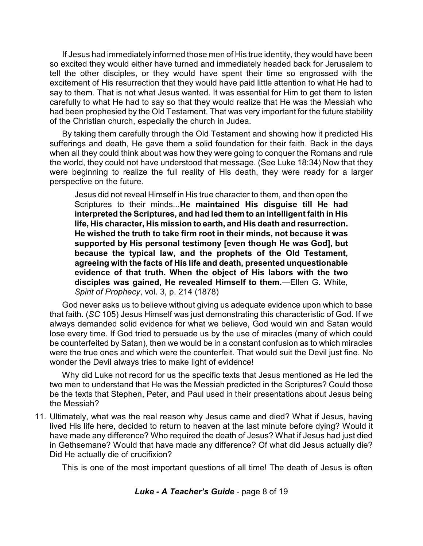If Jesus had immediately informed those men of His true identity, they would have been so excited they would either have turned and immediately headed back for Jerusalem to tell the other disciples, or they would have spent their time so engrossed with the excitement of His resurrection that they would have paid little attention to what He had to say to them. That is not what Jesus wanted. It was essential for Him to get them to listen carefully to what He had to say so that they would realize that He was the Messiah who had been prophesied by the Old Testament. That was very important for the future stability of the Christian church, especially the church in Judea.

By taking them carefully through the Old Testament and showing how it predicted His sufferings and death, He gave them a solid foundation for their faith. Back in the days when all they could think about was how they were going to conquer the Romans and rule the world, they could not have understood that message. (See Luke 18:34) Now that they were beginning to realize the full reality of His death, they were ready for a larger perspective on the future.

Jesus did not reveal Himself in His true character to them, and then open the Scriptures to their minds...**He maintained His disguise till He had interpreted the Scriptures, and had led them to an intelligent faith in His life, His character, His mission to earth, and His death and resurrection. He wished the truth to take firm root in their minds, not because it was supported by His personal testimony [even though He was God], but because the typical law, and the prophets of the Old Testament, agreeing with the facts of His life and death, presented unquestionable evidence of that truth. When the object of His labors with the two disciples was gained, He revealed Himself to them.**—Ellen G. White, *Spirit of Prophecy*, vol. 3, p. 214 (1878)

God never asks us to believe without giving us adequate evidence upon which to base that faith. (*SC* 105) Jesus Himself was just demonstrating this characteristic of God. If we always demanded solid evidence for what we believe, God would win and Satan would lose every time. If God tried to persuade us by the use of miracles (many of which could be counterfeited by Satan), then we would be in a constant confusion as to which miracles were the true ones and which were the counterfeit. That would suit the Devil just fine. No wonder the Devil always tries to make light of evidence!

Why did Luke not record for us the specific texts that Jesus mentioned as He led the two men to understand that He was the Messiah predicted in the Scriptures? Could those be the texts that Stephen, Peter, and Paul used in their presentations about Jesus being the Messiah?

11. Ultimately, what was the real reason why Jesus came and died? What if Jesus, having lived His life here, decided to return to heaven at the last minute before dying? Would it have made any difference? Who required the death of Jesus? What if Jesus had just died in Gethsemane? Would that have made any difference? Of what did Jesus actually die? Did He actually die of crucifixion?

This is one of the most important questions of all time! The death of Jesus is often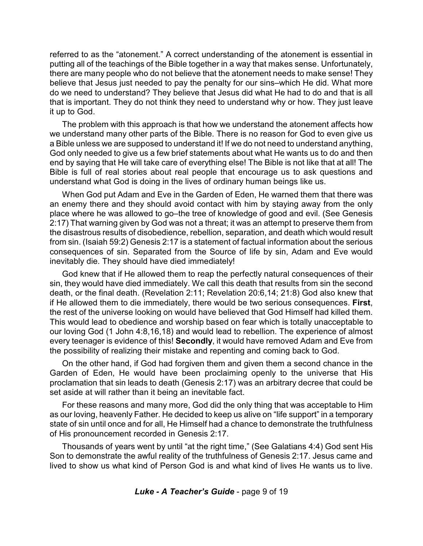referred to as the "atonement." A correct understanding of the atonement is essential in putting all of the teachings of the Bible together in a way that makes sense. Unfortunately, there are many people who do not believe that the atonement needs to make sense! They believe that Jesus just needed to pay the penalty for our sins–which He did. What more do we need to understand? They believe that Jesus did what He had to do and that is all that is important. They do not think they need to understand why or how. They just leave it up to God.

The problem with this approach is that how we understand the atonement affects how we understand many other parts of the Bible. There is no reason for God to even give us a Bible unless we are supposed to understand it! If we do not need to understand anything, God only needed to give us a few brief statements about what He wants us to do and then end by saying that He will take care of everything else! The Bible is not like that at all! The Bible is full of real stories about real people that encourage us to ask questions and understand what God is doing in the lives of ordinary human beings like us.

When God put Adam and Eve in the Garden of Eden, He warned them that there was an enemy there and they should avoid contact with him by staying away from the only place where he was allowed to go–the tree of knowledge of good and evil. (See Genesis 2:17) That warning given by God was not a threat; it was an attempt to preserve them from the disastrous results of disobedience, rebellion, separation, and death which would result from sin. (Isaiah 59:2) Genesis 2:17 is a statement of factual information about the serious consequences of sin. Separated from the Source of life by sin, Adam and Eve would inevitably die. They should have died immediately!

God knew that if He allowed them to reap the perfectly natural consequences of their sin, they would have died immediately. We call this death that results from sin the second death, or the final death. (Revelation 2:11; Revelation 20:6,14; 21:8) God also knew that if He allowed them to die immediately, there would be two serious consequences. **First**, the rest of the universe looking on would have believed that God Himself had killed them. This would lead to obedience and worship based on fear which is totally unacceptable to our loving God (1 John 4:8,16,18) and would lead to rebellion. The experience of almost every teenager is evidence of this! **Secondly**, it would have removed Adam and Eve from the possibility of realizing their mistake and repenting and coming back to God.

On the other hand, if God had forgiven them and given them a second chance in the Garden of Eden, He would have been proclaiming openly to the universe that His proclamation that sin leads to death (Genesis 2:17) was an arbitrary decree that could be set aside at will rather than it being an inevitable fact.

For these reasons and many more, God did the only thing that was acceptable to Him as our loving, heavenly Father. He decided to keep us alive on "life support" in a temporary state of sin until once and for all, He Himself had a chance to demonstrate the truthfulness of His pronouncement recorded in Genesis 2:17.

Thousands of years went by until "at the right time," (See Galatians 4:4) God sent His Son to demonstrate the awful reality of the truthfulness of Genesis 2:17. Jesus came and lived to show us what kind of Person God is and what kind of lives He wants us to live.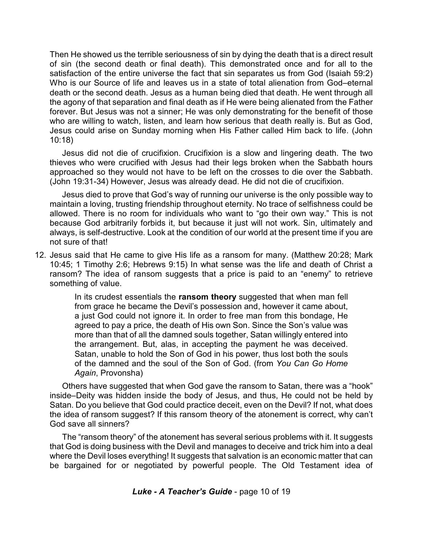Then He showed us the terrible seriousness of sin by dying the death that is a direct result of sin (the second death or final death). This demonstrated once and for all to the satisfaction of the entire universe the fact that sin separates us from God (Isaiah 59:2) Who is our Source of life and leaves us in a state of total alienation from God–eternal death or the second death. Jesus as a human being died that death. He went through all the agony of that separation and final death as if He were being alienated from the Father forever. But Jesus was not a sinner; He was only demonstrating for the benefit of those who are willing to watch, listen, and learn how serious that death really is. But as God, Jesus could arise on Sunday morning when His Father called Him back to life. (John 10:18)

Jesus did not die of crucifixion. Crucifixion is a slow and lingering death. The two thieves who were crucified with Jesus had their legs broken when the Sabbath hours approached so they would not have to be left on the crosses to die over the Sabbath. (John 19:31-34) However, Jesus was already dead. He did not die of crucifixion.

Jesus died to prove that God's way of running our universe is the only possible way to maintain a loving, trusting friendship throughout eternity. No trace of selfishness could be allowed. There is no room for individuals who want to "go their own way." This is not because God arbitrarily forbids it, but because it just will not work. Sin, ultimately and always, is self-destructive. Look at the condition of our world at the present time if you are not sure of that!

12. Jesus said that He came to give His life as a ransom for many. (Matthew 20:28; Mark 10:45; 1 Timothy 2:6; Hebrews 9:15) In what sense was the life and death of Christ a ransom? The idea of ransom suggests that a price is paid to an "enemy" to retrieve something of value.

> In its crudest essentials the **ransom theory** suggested that when man fell from grace he became the Devil's possession and, however it came about, a just God could not ignore it. In order to free man from this bondage, He agreed to pay a price, the death of His own Son. Since the Son's value was more than that of all the damned souls together, Satan willingly entered into the arrangement. But, alas, in accepting the payment he was deceived. Satan, unable to hold the Son of God in his power, thus lost both the souls of the damned and the soul of the Son of God. (from *You Can Go Home Again*, Provonsha)

Others have suggested that when God gave the ransom to Satan, there was a "hook" inside–Deity was hidden inside the body of Jesus, and thus, He could not be held by Satan. Do you believe that God could practice deceit, even on the Devil? If not, what does the idea of ransom suggest? If this ransom theory of the atonement is correct, why can't God save all sinners?

The "ransom theory" of the atonement has several serious problems with it. It suggests that God is doing business with the Devil and manages to deceive and trick him into a deal where the Devil loses everything! It suggests that salvation is an economic matter that can be bargained for or negotiated by powerful people. The Old Testament idea of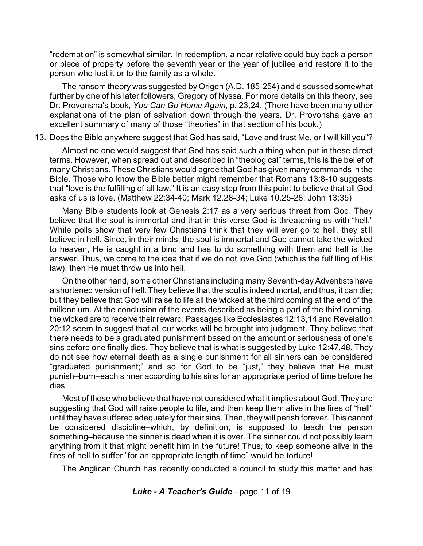"redemption" is somewhat similar. In redemption, a near relative could buy back a person or piece of property before the seventh year or the year of jubilee and restore it to the person who lost it or to the family as a whole.

The ransom theory was suggested by Origen (A.D. 185-254) and discussed somewhat further by one of his later followers, Gregory of Nyssa. For more details on this theory, see Dr. Provonsha's book, *You Can Go Home Again*, p. 23,24. (There have been many other explanations of the plan of salvation down through the years. Dr. Provonsha gave an excellent summary of many of those "theories" in that section of his book.)

13. Does the Bible anywhere suggest that God has said, "Love and trust Me, or I will kill you"?

Almost no one would suggest that God has said such a thing when put in these direct terms. However, when spread out and described in "theological" terms, this is the belief of many Christians. These Christians would agree that God has given many commands in the Bible. Those who know the Bible better might remember that Romans 13:8-10 suggests that "love is the fulfilling of all law." It is an easy step from this point to believe that all God asks of us is love. (Matthew 22:34-40; Mark 12.28-34; Luke 10.25-28; John 13:35)

Many Bible students look at Genesis 2:17 as a very serious threat from God. They believe that the soul is immortal and that in this verse God is threatening us with "hell." While polls show that very few Christians think that they will ever go to hell, they still believe in hell. Since, in their minds, the soul is immortal and God cannot take the wicked to heaven, He is caught in a bind and has to do something with them and hell is the answer. Thus, we come to the idea that if we do not love God (which is the fulfilling of His law), then He must throw us into hell.

On the other hand, some other Christians including many Seventh-day Adventists have a shortened version of hell. They believe that the soul is indeed mortal, and thus, it can die; but they believe that God will raise to life all the wicked at the third coming at the end of the millennium. At the conclusion of the events described as being a part of the third coming, the wicked are to receive their reward. Passages like Ecclesiastes 12:13,14 and Revelation 20:12 seem to suggest that all our works will be brought into judgment. They believe that there needs to be a graduated punishment based on the amount or seriousness of one's sins before one finally dies. They believe that is what is suggested by Luke 12:47,48. They do not see how eternal death as a single punishment for all sinners can be considered "graduated punishment;" and so for God to be "just," they believe that He must punish–burn–each sinner according to his sins for an appropriate period of time before he dies.

Most of those who believe that have not considered what it implies about God. They are suggesting that God will raise people to life, and then keep them alive in the fires of "hell" until they have suffered adequately for their sins. Then, they will perish forever. This cannot be considered discipline–which, by definition, is supposed to teach the person something–because the sinner is dead when it is over. The sinner could not possibly learn anything from it that might benefit him in the future! Thus, to keep someone alive in the fires of hell to suffer "for an appropriate length of time" would be torture!

The Anglican Church has recently conducted a council to study this matter and has

#### *Luke - A Teacher's Guide* - page 11 of 19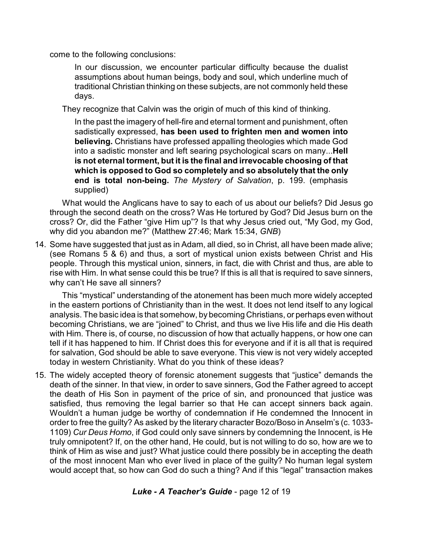come to the following conclusions:

In our discussion, we encounter particular difficulty because the dualist assumptions about human beings, body and soul, which underline much of traditional Christian thinking on these subjects, are not commonly held these days.

They recognize that Calvin was the origin of much of this kind of thinking.

In the past the imagery of hell-fire and eternal torment and punishment, often sadistically expressed, **has been used to frighten men and women into believing.** Christians have professed appalling theologies which made God into a sadistic monster and left searing psychological scars on many...**Hell is not eternal torment, but it is the final and irrevocable choosing of that which is opposed to God so completely and so absolutely that the only end is total non-being.** *The Mystery of Salvation*, p. 199. (emphasis supplied)

What would the Anglicans have to say to each of us about our beliefs? Did Jesus go through the second death on the cross? Was He tortured by God? Did Jesus burn on the cross? Or, did the Father "give Him up"? Is that why Jesus cried out, "My God, my God, why did you abandon me?" (Matthew 27:46; Mark 15:34, *GNB*)

14. Some have suggested that just as in Adam, all died, so in Christ, all have been made alive; (see Romans 5 & 6) and thus, a sort of mystical union exists between Christ and His people. Through this mystical union, sinners, in fact, die with Christ and thus, are able to rise with Him. In what sense could this be true? If this is all that is required to save sinners, why can't He save all sinners?

This "mystical" understanding of the atonement has been much more widely accepted in the eastern portions of Christianity than in the west. It does not lend itself to any logical analysis. The basic idea is that somehow, by becoming Christians, or perhaps even without becoming Christians, we are "joined" to Christ, and thus we live His life and die His death with Him. There is, of course, no discussion of how that actually happens, or how one can tell if it has happened to him. If Christ does this for everyone and if it is all that is required for salvation, God should be able to save everyone. This view is not very widely accepted today in western Christianity. What do you think of these ideas?

15. The widely accepted theory of forensic atonement suggests that "justice" demands the death of the sinner. In that view, in order to save sinners, God the Father agreed to accept the death of His Son in payment of the price of sin, and pronounced that justice was satisfied, thus removing the legal barrier so that He can accept sinners back again. Wouldn't a human judge be worthy of condemnation if He condemned the Innocent in order to free the guilty? As asked by the literary character Bozo/Boso in Anselm's (c. 1033- 1109) *Cur Deus Homo*, if God could only save sinners by condemning the Innocent, is He truly omnipotent? If, on the other hand, He could, but is not willing to do so, how are we to think of Him as wise and just? What justice could there possibly be in accepting the death of the most innocent Man who ever lived in place of the guilty? No human legal system would accept that, so how can God do such a thing? And if this "legal" transaction makes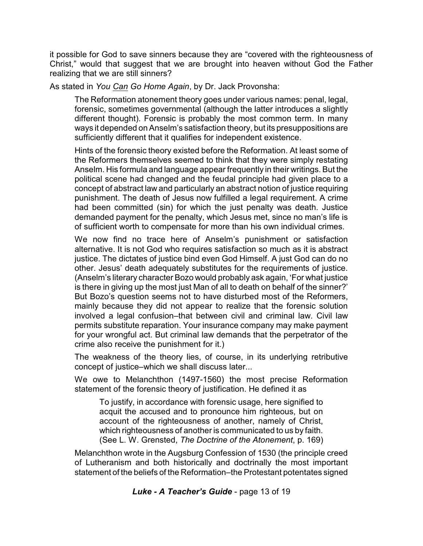it possible for God to save sinners because they are "covered with the righteousness of Christ," would that suggest that we are brought into heaven without God the Father realizing that we are still sinners?

As stated in *You Can Go Home Again*, by Dr. Jack Provonsha:

The Reformation atonement theory goes under various names: penal, legal, forensic, sometimes governmental (although the latter introduces a slightly different thought). Forensic is probably the most common term. In many ways it depended on Anselm's satisfaction theory, but its presuppositions are sufficiently different that it qualifies for independent existence.

Hints of the forensic theory existed before the Reformation. At least some of the Reformers themselves seemed to think that they were simply restating Anselm. His formula and language appear frequently in their writings. But the political scene had changed and the feudal principle had given place to a concept of abstract law and particularly an abstract notion of justice requiring punishment. The death of Jesus now fulfilled a legal requirement. A crime had been committed (sin) for which the just penalty was death. Justice demanded payment for the penalty, which Jesus met, since no man's life is of sufficient worth to compensate for more than his own individual crimes.

We now find no trace here of Anselm's punishment or satisfaction alternative. It is not God who requires satisfaction so much as it is abstract justice. The dictates of justice bind even God Himself. A just God can do no other. Jesus' death adequately substitutes for the requirements of justice. (Anselm's literary character Bozo would probably ask again, <For what justice is there in giving up the most just Man of all to death on behalf of the sinner?' But Bozo's question seems not to have disturbed most of the Reformers, mainly because they did not appear to realize that the forensic solution involved a legal confusion–that between civil and criminal law. Civil law permits substitute reparation. Your insurance company may make payment for your wrongful act. But criminal law demands that the perpetrator of the crime also receive the punishment for it.)

The weakness of the theory lies, of course, in its underlying retributive concept of justice–which we shall discuss later...

We owe to Melanchthon (1497-1560) the most precise Reformation statement of the forensic theory of justification. He defined it as

To justify, in accordance with forensic usage, here signified to acquit the accused and to pronounce him righteous, but on account of the righteousness of another, namely of Christ, which righteousness of another is communicated to us by faith. (See L. W. Grensted, *The Doctrine of the Atonement*, p. 169)

Melanchthon wrote in the Augsburg Confession of 1530 (the principle creed of Lutheranism and both historically and doctrinally the most important statement of the beliefs of the Reformation–the Protestant potentates signed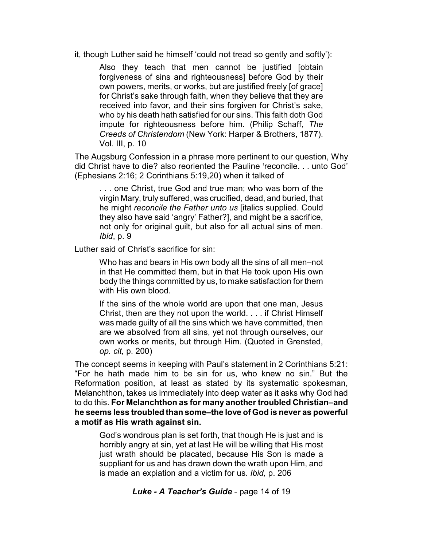it, though Luther said he himself 'could not tread so gently and softly'):

Also they teach that men cannot be justified [obtain forgiveness of sins and righteousness] before God by their own powers, merits, or works, but are justified freely [of grace] for Christ's sake through faith, when they believe that they are received into favor, and their sins forgiven for Christ's sake, who by his death hath satisfied for our sins. This faith doth God impute for righteousness before him. (Philip Schaff, *The Creeds of Christendom* (New York: Harper & Brothers, 1877). Vol. III, p. 10

The Augsburg Confession in a phrase more pertinent to our question, Why did Christ have to die? also reoriented the Pauline 'reconcile. . . unto God' (Ephesians 2:16; 2 Corinthians 5:19,20) when it talked of

. . . one Christ, true God and true man; who was born of the virgin Mary, truly suffered, was crucified, dead, and buried, that he might *reconcile the Father unto us* [italics supplied. Could they also have said 'angry' Father?], and might be a sacrifice, not only for original guilt, but also for all actual sins of men. *Ibid*, p. 9

Luther said of Christ's sacrifice for sin:

Who has and bears in His own body all the sins of all men–not in that He committed them, but in that He took upon His own body the things committed by us, to make satisfaction for them with His own blood.

If the sins of the whole world are upon that one man, Jesus Christ, then are they not upon the world. . . . if Christ Himself was made guilty of all the sins which we have committed, then are we absolved from all sins, yet not through ourselves, our own works or merits, but through Him. (Quoted in Grensted, *op. cit,* p. 200)

The concept seems in keeping with Paul's statement in 2 Corinthians 5:21: "For he hath made him to be sin for us, who knew no sin." But the Reformation position, at least as stated by its systematic spokesman, Melanchthon, takes us immediately into deep water as it asks why God had to do this. **For Melanchthon as for many another troubled Christian–and he seems less troubled than some–the love of God is never as powerful a motif as His wrath against sin.**

God's wondrous plan is set forth, that though He is just and is horribly angry at sin, yet at last He will be willing that His most just wrath should be placated, because His Son is made a suppliant for us and has drawn down the wrath upon Him, and is made an expiation and a victim for us. *Ibid,* p. 206

## *Luke - A Teacher's Guide* - page 14 of 19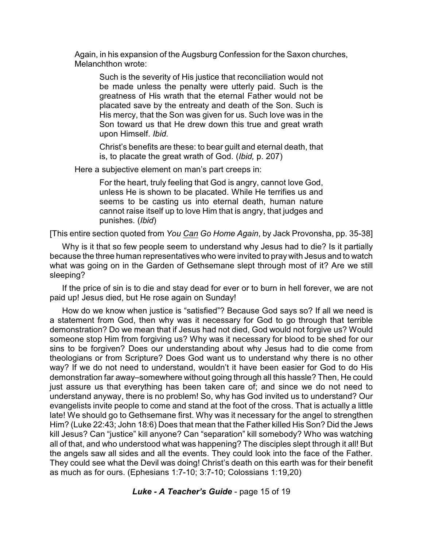Again, in his expansion of the Augsburg Confession for the Saxon churches, Melanchthon wrote:

Such is the severity of His justice that reconciliation would not be made unless the penalty were utterly paid. Such is the greatness of His wrath that the eternal Father would not be placated save by the entreaty and death of the Son. Such is His mercy, that the Son was given for us. Such love was in the Son toward us that He drew down this true and great wrath upon Himself. *Ibid.*

Christ's benefits are these: to bear guilt and eternal death, that is, to placate the great wrath of God. (*Ibid,* p. 207)

Here a subjective element on man's part creeps in:

For the heart, truly feeling that God is angry, cannot love God, unless He is shown to be placated. While He terrifies us and seems to be casting us into eternal death, human nature cannot raise itself up to love Him that is angry, that judges and punishes. (*Ibid*)

[This entire section quoted from *You Can Go Home Again*, by Jack Provonsha, pp. 35-38]

Why is it that so few people seem to understand why Jesus had to die? Is it partially because the three human representatives who were invited to pray with Jesus and to watch what was going on in the Garden of Gethsemane slept through most of it? Are we still sleeping?

If the price of sin is to die and stay dead for ever or to burn in hell forever, we are not paid up! Jesus died, but He rose again on Sunday!

How do we know when justice is "satisfied"? Because God says so? If all we need is a statement from God, then why was it necessary for God to go through that terrible demonstration? Do we mean that if Jesus had not died, God would not forgive us? Would someone stop Him from forgiving us? Why was it necessary for blood to be shed for our sins to be forgiven? Does our understanding about why Jesus had to die come from theologians or from Scripture? Does God want us to understand why there is no other way? If we do not need to understand, wouldn't it have been easier for God to do His demonstration far away–somewhere without going through all this hassle? Then, He could just assure us that everything has been taken care of; and since we do not need to understand anyway, there is no problem! So, why has God invited us to understand? Our evangelists invite people to come and stand at the foot of the cross. That is actually a little late! We should go to Gethsemane first. Why was it necessary for the angel to strengthen Him? (Luke 22:43; John 18:6) Does that mean that the Father killed His Son? Did the Jews kill Jesus? Can "justice" kill anyone? Can "separation" kill somebody? Who was watching all of that, and who understood what was happening? The disciples slept through it all! But the angels saw all sides and all the events. They could look into the face of the Father. They could see what the Devil was doing! Christ's death on this earth was for their benefit as much as for ours. (Ephesians 1:7-10; 3:7-10; Colossians 1:19,20)

#### *Luke - A Teacher's Guide* - page 15 of 19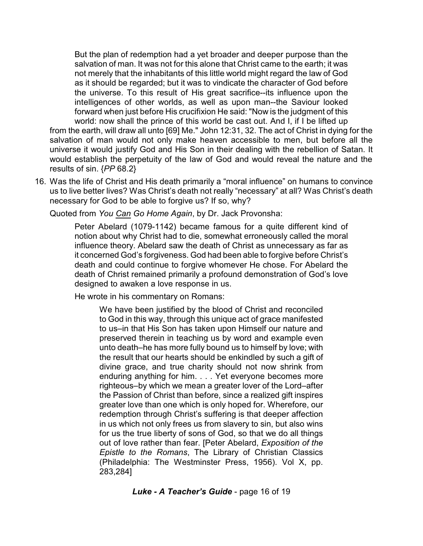But the plan of redemption had a yet broader and deeper purpose than the salvation of man. It was not for this alone that Christ came to the earth; it was not merely that the inhabitants of this little world might regard the law of God as it should be regarded; but it was to vindicate the character of God before the universe. To this result of His great sacrifice--its influence upon the intelligences of other worlds, as well as upon man--the Saviour looked forward when just before His crucifixion He said: "Now is the judgment of this world: now shall the prince of this world be cast out. And I, if I be lifted up

from the earth, will draw all unto [69] Me." John 12:31, 32. The act of Christ in dying for the salvation of man would not only make heaven accessible to men, but before all the universe it would justify God and His Son in their dealing with the rebellion of Satan. It would establish the perpetuity of the law of God and would reveal the nature and the results of sin. {*PP* 68.2}

16. Was the life of Christ and His death primarily a "moral influence" on humans to convince us to live better lives? Was Christ's death not really "necessary" at all? Was Christ's death necessary for God to be able to forgive us? If so, why?

Quoted from *You Can Go Home Again*, by Dr. Jack Provonsha:

Peter Abelard (1079-1142) became famous for a quite different kind of notion about why Christ had to die, somewhat erroneously called the moral influence theory. Abelard saw the death of Christ as unnecessary as far as it concerned God's forgiveness. God had been able to forgive before Christ's death and could continue to forgive whomever He chose. For Abelard the death of Christ remained primarily a profound demonstration of God's love designed to awaken a love response in us.

He wrote in his commentary on Romans:

We have been justified by the blood of Christ and reconciled to God in this way, through this unique act of grace manifested to us–in that His Son has taken upon Himself our nature and preserved therein in teaching us by word and example even unto death–he has more fully bound us to himself by love; with the result that our hearts should be enkindled by such a gift of divine grace, and true charity should not now shrink from enduring anything for him. . . . Yet everyone becomes more righteous–by which we mean a greater lover of the Lord–after the Passion of Christ than before, since a realized gift inspires greater love than one which is only hoped for. Wherefore, our redemption through Christ's suffering is that deeper affection in us which not only frees us from slavery to sin, but also wins for us the true liberty of sons of God, so that we do all things out of love rather than fear. [Peter Abelard, *Exposition of the Epistle to the Romans*, The Library of Christian Classics (Philadelphia: The Westminster Press, 1956). Vol X, pp. 283,284]

*Luke - A Teacher's Guide* - page 16 of 19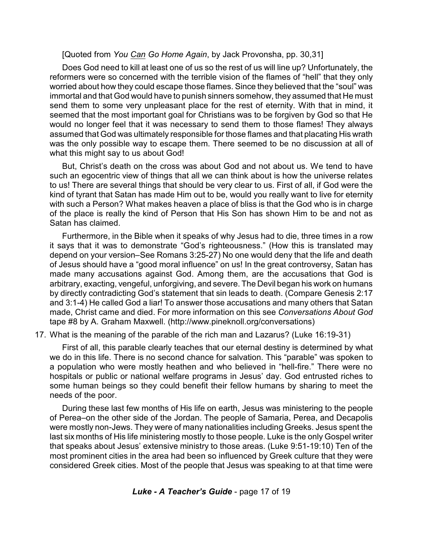## [Quoted from *You Can Go Home Again*, by Jack Provonsha, pp. 30,31]

Does God need to kill at least one of us so the rest of us will line up? Unfortunately, the reformers were so concerned with the terrible vision of the flames of "hell" that they only worried about how they could escape those flames. Since they believed that the "soul" was immortal and that God would have to punish sinners somehow, they assumed that He must send them to some very unpleasant place for the rest of eternity. With that in mind, it seemed that the most important goal for Christians was to be forgiven by God so that He would no longer feel that it was necessary to send them to those flames! They always assumed that God was ultimately responsible for those flames and that placating His wrath was the only possible way to escape them. There seemed to be no discussion at all of what this might say to us about God!

But, Christ's death on the cross was about God and not about us. We tend to have such an egocentric view of things that all we can think about is how the universe relates to us! There are several things that should be very clear to us. First of all, if God were the kind of tyrant that Satan has made Him out to be, would you really want to live for eternity with such a Person? What makes heaven a place of bliss is that the God who is in charge of the place is really the kind of Person that His Son has shown Him to be and not as Satan has claimed.

Furthermore, in the Bible when it speaks of why Jesus had to die, three times in a row it says that it was to demonstrate "God's righteousness." (How this is translated may depend on your version–See Romans 3:25-27) No one would deny that the life and death of Jesus should have a "good moral influence" on us! In the great controversy, Satan has made many accusations against God. Among them, are the accusations that God is arbitrary, exacting, vengeful, unforgiving, and severe. The Devil began his work on humans by directly contradicting God's statement that sin leads to death. (Compare Genesis 2:17 and 3:1-4) He called God a liar! To answer those accusations and many others that Satan made, Christ came and died. For more information on this see *Conversations About God* tape #8 by A. Graham Maxwell. (http://www.pineknoll.org/conversations)

17. What is the meaning of the parable of the rich man and Lazarus? (Luke 16:19-31)

First of all, this parable clearly teaches that our eternal destiny is determined by what we do in this life. There is no second chance for salvation. This "parable" was spoken to a population who were mostly heathen and who believed in "hell-fire." There were no hospitals or public or national welfare programs in Jesus' day. God entrusted riches to some human beings so they could benefit their fellow humans by sharing to meet the needs of the poor.

During these last few months of His life on earth, Jesus was ministering to the people of Perea–on the other side of the Jordan. The people of Samaria, Perea, and Decapolis were mostly non-Jews. They were of many nationalities including Greeks. Jesus spent the last six months of His life ministering mostly to those people. Luke is the only Gospel writer that speaks about Jesus' extensive ministry to those areas. (Luke 9:51-19:10) Ten of the most prominent cities in the area had been so influenced by Greek culture that they were considered Greek cities. Most of the people that Jesus was speaking to at that time were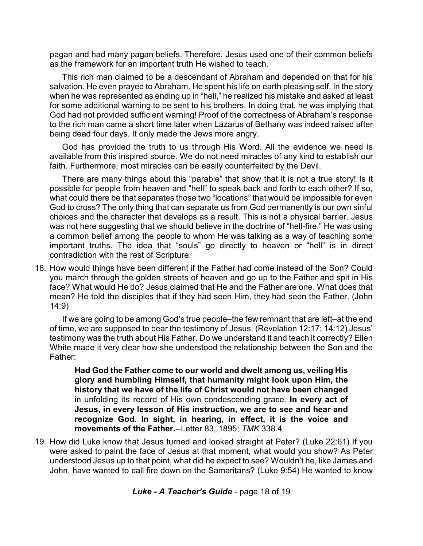pagan and had many pagan beliefs. Therefore, Jesus used one of their common beliefs as the framework for an important truth He wished to teach.

This rich man claimed to be a descendant of Abraham and depended on that for his salvation. He even prayed to Abraham. He spent his life on earth pleasing self. In the story when he was represented as ending up in "hell," he realized his mistake and asked at least for some additional warning to be sent to his brothers. In doing that, he was implying that God had not provided sufficient warning! Proof of the correctness of Abraham's response to the rich man came a short time later when Lazarus of Bethany was indeed raised after being dead four days. It only made the Jews more angry.

God has provided the truth to us through His Word. All the evidence we need is available from this inspired source. We do not need miracles of any kind to establish our faith. Furthermore, most miracles can be easily counterfeited by the Devil.

There are many things about this "parable" that show that it is not a true story! Is it possible for people from heaven and "hell" to speak back and forth to each other? If so, what could there be that separates those two "locations" that would be impossible for even God to cross? The only thing that can separate us from God permanently is our own sinful choices and the character that develops as a result. This is not a physical barrier. Jesus was not here suggesting that we should believe in the doctrine of "hell-fire." He was using a common belief among the people to whom He was talking as a way of teaching some important truths. The idea that "souls" go directly to heaven or "hell" is in direct contradiction with the rest of Scripture.

18. How would things have been different if the Father had come instead of the Son? Could you march through the golden streets of heaven and go up to the Father and spit in His face? What would He do? Jesus claimed that He and the Father are one. What does that mean? He told the disciples that if they had seen Him, they had seen the Father. (John 14:9)

If we are going to be among God's true people–the few remnant that are left–at the end of time, we are supposed to bear the testimony of Jesus. (Revelation 12:17; 14:12) Jesus' testimony was the truth about His Father. Do we understand it and teach it correctly? Ellen White made it very clear how she understood the relationship between the Son and the Father:

**Had God the Father come to our world and dwelt among us, veiling His glory and humbling Himself, that humanity might look upon Him, the history that we have of the life of Christ would not have been changed** in unfolding its record of His own condescending grace. **In every act of Jesus, in every lesson of His instruction, we are to see and hear and recognize God. In sight, in hearing, in effect, it is the voice and movements of the Father.**--Letter 83, 1895; *TMK* 338.4

19. How did Luke know that Jesus turned and looked straight at Peter? (Luke 22:61) If you were asked to paint the face of Jesus at that moment, what would you show? As Peter understood Jesus up to that point, what did he expect to see? Wouldn't he, like James and John, have wanted to call fire down on the Samaritans? (Luke 9:54) He wanted to know